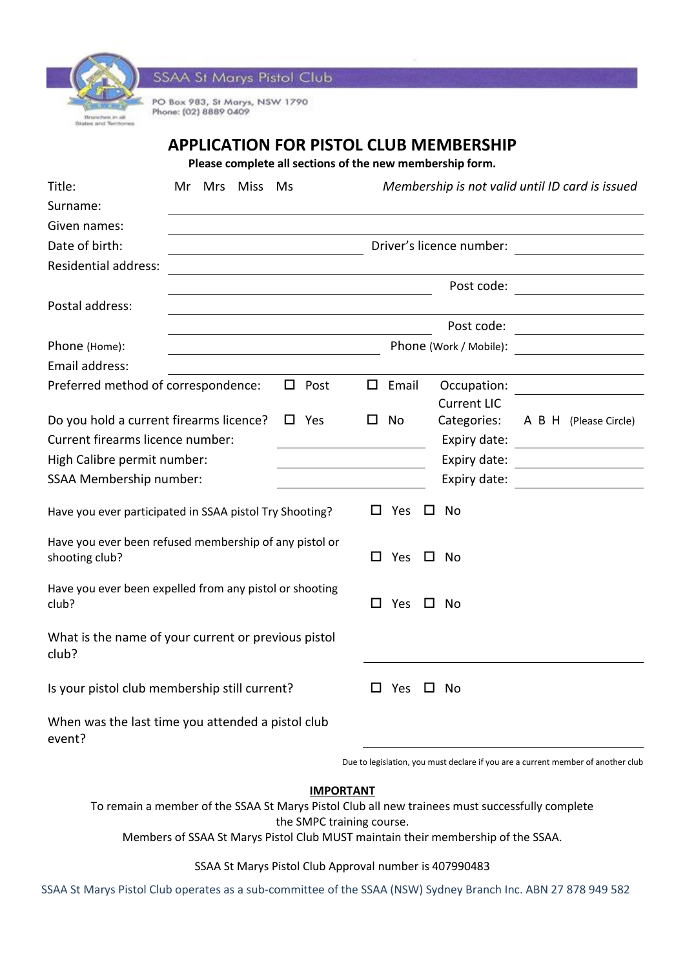PO Box 983, St Marys, NSW 1790 Phone: (02) 8889 0409

**Branches in all**<br>States and Territories

**SSAA St Marys Pistol Club** 

# **APPLICATION FOR PISTOL CLUB MEMBERSHIP**

**Please complete all sections of the new membership form.**

| Title:<br>Surname:                                                       | Mr | <b>Mrs</b> | Miss | Ms |                                                                                                                      |    |               |        |                          | Membership is not valid until ID card is issued |
|--------------------------------------------------------------------------|----|------------|------|----|----------------------------------------------------------------------------------------------------------------------|----|---------------|--------|--------------------------|-------------------------------------------------|
| Given names:                                                             |    |            |      |    |                                                                                                                      |    |               |        |                          |                                                 |
| Date of birth:                                                           |    |            |      |    | <u> 1980 - Johann Barn, mars ann an t-Amhain Aonaich an t-Aonaich an t-Aonaich ann an t-Aonaich ann an t-Aonaich</u> |    |               |        | Driver's licence number: |                                                 |
| <b>Residential address:</b>                                              |    |            |      |    |                                                                                                                      |    |               |        |                          |                                                 |
|                                                                          |    |            |      |    |                                                                                                                      |    |               |        | Post code:               |                                                 |
| Postal address:                                                          |    |            |      |    |                                                                                                                      |    |               |        |                          |                                                 |
|                                                                          |    |            |      |    |                                                                                                                      |    |               |        | Post code:               |                                                 |
| Phone (Home):                                                            |    |            |      |    |                                                                                                                      |    |               |        | Phone (Work / Mobile):   |                                                 |
| Email address:                                                           |    |            |      |    |                                                                                                                      |    |               |        |                          |                                                 |
| Preferred method of correspondence:                                      |    |            |      |    | $\Box$ Post                                                                                                          |    | $\Box$ Email  |        | Occupation:              |                                                 |
|                                                                          |    |            |      |    |                                                                                                                      |    |               |        | <b>Current LIC</b>       |                                                 |
| Do you hold a current firearms licence?                                  |    |            |      |    | $\square$ Yes                                                                                                        |    | $\square$ No  |        | Categories:              | A B H (Please Circle)                           |
| Current firearms licence number:                                         |    |            |      |    |                                                                                                                      |    |               |        | Expiry date:             |                                                 |
| High Calibre permit number:                                              |    |            |      |    |                                                                                                                      |    |               |        | Expiry date:             |                                                 |
| SSAA Membership number:                                                  |    |            |      |    |                                                                                                                      |    |               |        | Expiry date:             | <u> 1989 - Johann Barn, mars ann an t-</u>      |
| Have you ever participated in SSAA pistol Try Shooting?                  |    |            |      |    |                                                                                                                      | 0  | Yes           | □      | No                       |                                                 |
| Have you ever been refused membership of any pistol or<br>shooting club? |    |            |      |    |                                                                                                                      | П. | Yes           |        | $\square$ No             |                                                 |
| Have you ever been expelled from any pistol or shooting<br>club?         |    |            |      |    |                                                                                                                      | □  | Yes           | $\Box$ | <b>No</b>                |                                                 |
| What is the name of your current or previous pistol<br>club?             |    |            |      |    |                                                                                                                      |    |               |        |                          |                                                 |
| Is your pistol club membership still current?                            |    |            |      |    |                                                                                                                      |    | $\square$ Yes |        | $\square$ No             |                                                 |
| When was the last time you attended a pistol club<br>event?              |    |            |      |    |                                                                                                                      |    |               |        |                          |                                                 |

Due to legislation, you must declare if you are a current member of another club

**IMPORTANT**

To remain a member of the SSAA St Marys Pistol Club all new trainees must successfully complete the SMPC training course. Members of SSAA St Marys Pistol Club MUST maintain their membership of the SSAA.

SSAA St Marys Pistol Club Approval number is 407990483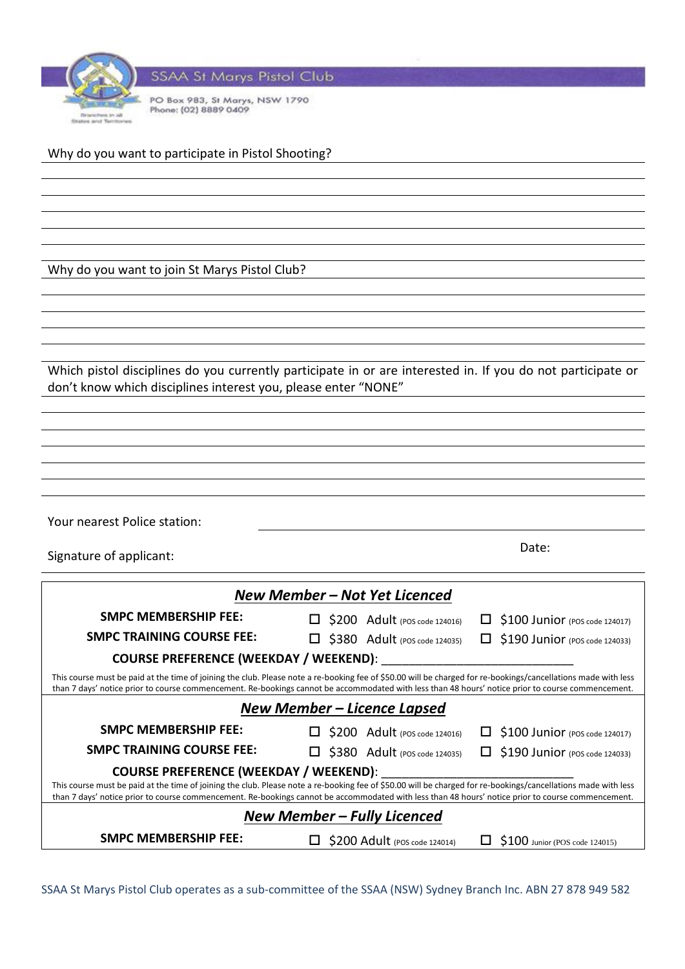

### Why do you want to participate in Pistol Shooting?

Why do you want to join St Marys Pistol Club?

Which pistol disciplines do you currently participate in or are interested in. If you do not participate or don't know which disciplines interest you, please enter "NONE"

| Your nearest Police station: |       |
|------------------------------|-------|
| Signature of applicant:      | Date: |

| <b>New Member - Not Yet Licenced</b>                                                                                                                                                                                                                                                                                                                                  |                                                                               |  |  |  |  |  |  |  |
|-----------------------------------------------------------------------------------------------------------------------------------------------------------------------------------------------------------------------------------------------------------------------------------------------------------------------------------------------------------------------|-------------------------------------------------------------------------------|--|--|--|--|--|--|--|
| <b>SMPC MEMBERSHIP FEE:</b>                                                                                                                                                                                                                                                                                                                                           | $$200$ Adult (POS code 124016)<br>$\Box$ \$100 Junior (POS code 124017)       |  |  |  |  |  |  |  |
| <b>SMPC TRAINING COURSE FEE:</b>                                                                                                                                                                                                                                                                                                                                      | \$380 Adult (POS code 124035)<br>$\Box$ \$190 Junior (POS code 124033)        |  |  |  |  |  |  |  |
| <b>COURSE PREFERENCE (WEEKDAY / WEEKEND):</b>                                                                                                                                                                                                                                                                                                                         |                                                                               |  |  |  |  |  |  |  |
| This course must be paid at the time of joining the club. Please note a re-booking fee of \$50.00 will be charged for re-bookings/cancellations made with less<br>than 7 days' notice prior to course commencement. Re-bookings cannot be accommodated with less than 48 hours' notice prior to course commencement.                                                  |                                                                               |  |  |  |  |  |  |  |
| New Member – Licence Lapsed                                                                                                                                                                                                                                                                                                                                           |                                                                               |  |  |  |  |  |  |  |
| <b>SMPC MEMBERSHIP FEE:</b>                                                                                                                                                                                                                                                                                                                                           | $\Box$ \$100 Junior (POS code 124017)<br>$\Box$ \$200 Adult (POS code 124016) |  |  |  |  |  |  |  |
| <b>SMPC TRAINING COURSE FEE:</b>                                                                                                                                                                                                                                                                                                                                      | $$380$ Adult (POS code 124035)<br>$\Box$ \$190 Junior (POS code 124033)       |  |  |  |  |  |  |  |
| <b>COURSE PREFERENCE (WEEKDAY / WEEKEND):</b><br>This course must be paid at the time of joining the club. Please note a re-booking fee of \$50.00 will be charged for re-bookings/cancellations made with less<br>than 7 days' notice prior to course commencement. Re-bookings cannot be accommodated with less than 48 hours' notice prior to course commencement. |                                                                               |  |  |  |  |  |  |  |
| <b>New Member - Fully Licenced</b>                                                                                                                                                                                                                                                                                                                                    |                                                                               |  |  |  |  |  |  |  |
| <b>SMPC MEMBERSHIP FEE:</b>                                                                                                                                                                                                                                                                                                                                           | $$200$ Adult (POS code 124014)<br>\$100 Junior (POS code 124015)              |  |  |  |  |  |  |  |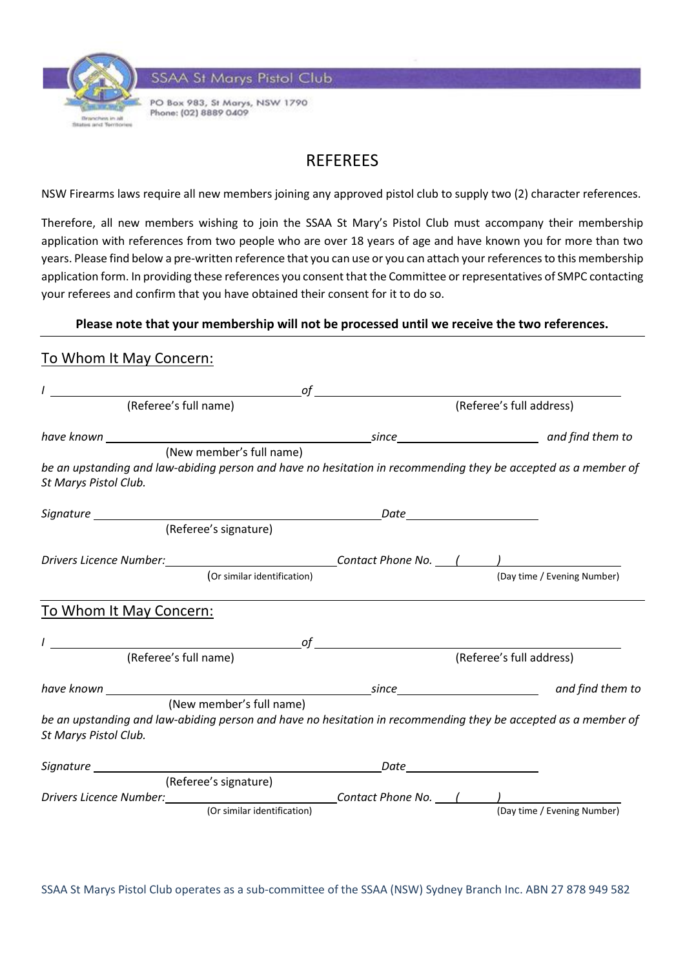

**SSAA St Marys Pistol Club** 

PO Box 983, St Marys, NSW 1790 Phone: (02) 8889 0409

# **REFEREES**

NSW Firearms laws require all new members joining any approved pistol club to supply two (2) character references.

Therefore, all new members wishing to join the SSAA St Mary's Pistol Club must accompany their membership application with references from two people who are over 18 years of age and have known you for more than two years. Please find below a pre-written reference that you can use or you can attach your references to this membership application form. In providing these references you consent that the Committee or representatives of SMPC contacting your referees and confirm that you have obtained their consent for it to do so.

## **Please note that your membership will not be processed until we receive the two references.**

#### To Whom It May Concern:

|                                                                                                                                         | $of$ and $of$ and $of$ and $of$ and $of$ and $of$ and $of$ and $of$ and $of$ and $of$ and $of$ and $of$ and $of$ and $of$ and $of$ and $of$ and $of$ and $of$ and $of$ and $of$ and $of$ and $of$ and $of$ and $of$ and $of$ and $of$ and $of$ and $of$ a |                             |  |  |  |  |  |
|-----------------------------------------------------------------------------------------------------------------------------------------|-----------------------------------------------------------------------------------------------------------------------------------------------------------------------------------------------------------------------------------------------------------|-----------------------------|--|--|--|--|--|
| (Referee's full name)                                                                                                                   |                                                                                                                                                                                                                                                           | (Referee's full address)    |  |  |  |  |  |
|                                                                                                                                         |                                                                                                                                                                                                                                                           | since and find them to      |  |  |  |  |  |
| (New member's full name)                                                                                                                |                                                                                                                                                                                                                                                           |                             |  |  |  |  |  |
| be an upstanding and law-abiding person and have no hesitation in recommending they be accepted as a member of<br>St Marys Pistol Club. |                                                                                                                                                                                                                                                           |                             |  |  |  |  |  |
|                                                                                                                                         | Date _________________                                                                                                                                                                                                                                    |                             |  |  |  |  |  |
| (Referee's signature)                                                                                                                   |                                                                                                                                                                                                                                                           |                             |  |  |  |  |  |
| Drivers Licence Number:_________________________________Contact Phone No. ___(______)                                                   |                                                                                                                                                                                                                                                           |                             |  |  |  |  |  |
|                                                                                                                                         | (Or similar identification)                                                                                                                                                                                                                               | (Day time / Evening Number) |  |  |  |  |  |
| To Whom It May Concern:                                                                                                                 |                                                                                                                                                                                                                                                           |                             |  |  |  |  |  |
|                                                                                                                                         |                                                                                                                                                                                                                                                           |                             |  |  |  |  |  |
| (Referee's full name)                                                                                                                   |                                                                                                                                                                                                                                                           | (Referee's full address)    |  |  |  |  |  |
|                                                                                                                                         | example and find them to since since since and find them to                                                                                                                                                                                               |                             |  |  |  |  |  |
| (New member's full name)                                                                                                                |                                                                                                                                                                                                                                                           |                             |  |  |  |  |  |
| be an upstanding and law-abiding person and have no hesitation in recommending they be accepted as a member of<br>St Marys Pistol Club. |                                                                                                                                                                                                                                                           |                             |  |  |  |  |  |
|                                                                                                                                         |                                                                                                                                                                                                                                                           |                             |  |  |  |  |  |
| (Referee's signature)                                                                                                                   |                                                                                                                                                                                                                                                           |                             |  |  |  |  |  |
| Drivers Licence Number: National Services of the Services of Services and Services of the Director Services of                          | $\mathcal{L}$ contact Phone No. $\qquad \qquad (\qquad \qquad )$                                                                                                                                                                                          |                             |  |  |  |  |  |
|                                                                                                                                         | (Or similar identification)                                                                                                                                                                                                                               | (Day time / Evening Number) |  |  |  |  |  |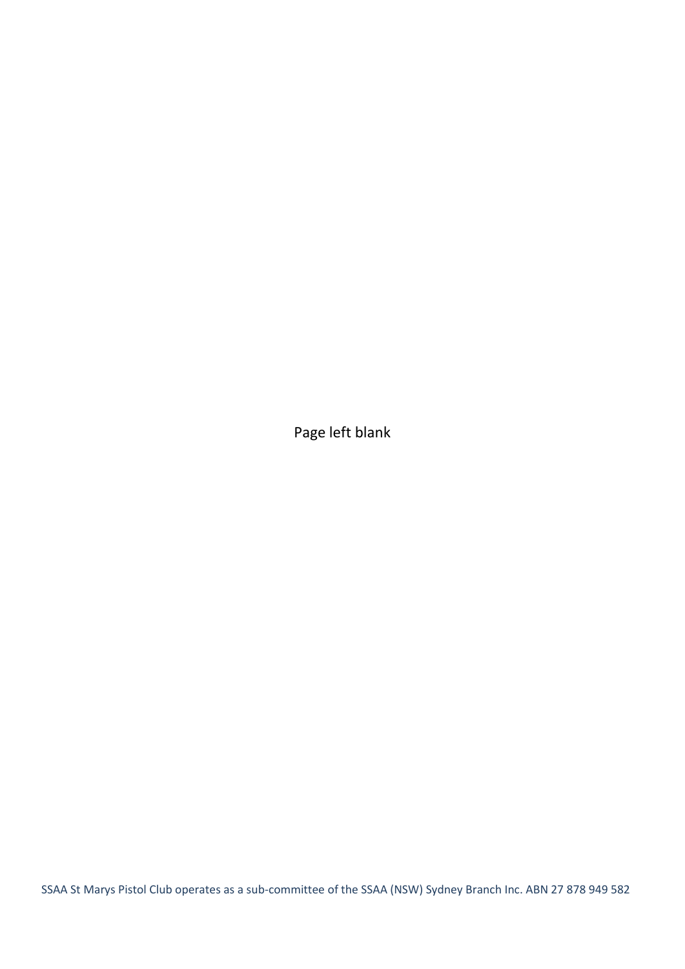Page left blank